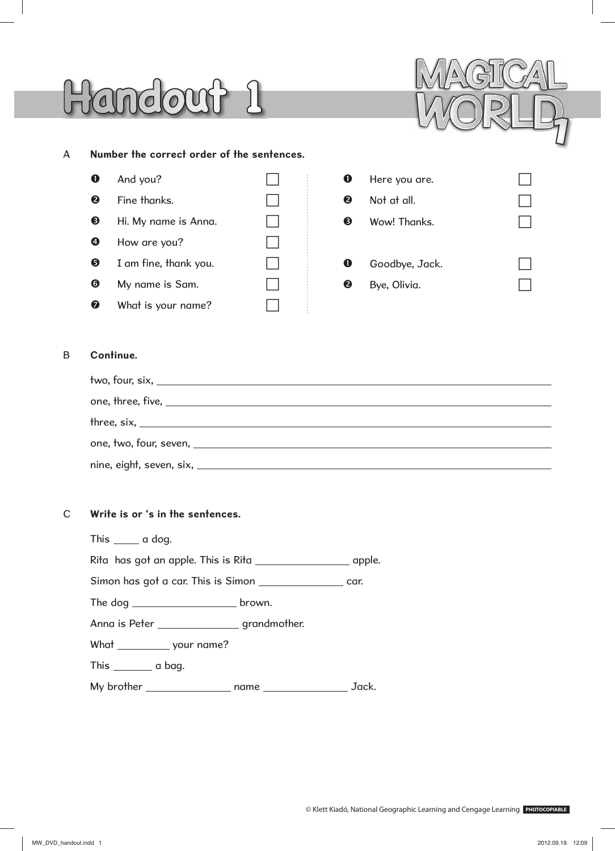## Handout 1



#### A **Number the correct order of the sentences.**

|                       | And you?              |   |
|-----------------------|-----------------------|---|
| 2                     | Fine thanks.          |   |
| ❸                     | Hi. My name is Anna.  | 3 |
| Ø                     | How are you?          |   |
| ❺                     | I am fine, thank you. |   |
| $\boldsymbol{\Theta}$ | My name is Sam.       |   |
|                       | What is your name?    |   |

| O           | Here you are.  |  |  |  |  |
|-------------|----------------|--|--|--|--|
| ❷           | Not at all.    |  |  |  |  |
| ❸           | Wow! Thanks.   |  |  |  |  |
|             |                |  |  |  |  |
| $\mathbf 0$ | Goodbye, Jack. |  |  |  |  |
| ❷           | Bye, Olivia.   |  |  |  |  |

## B **Continue.**

| two, four, six, $\overline{\phantom{a}}$ |
|------------------------------------------|
|                                          |
| $three, six, _______$                    |
|                                          |
|                                          |

#### C **Write is or 's in the sentences.**

| This ______ a dog.                                             |  |  |  |
|----------------------------------------------------------------|--|--|--|
|                                                                |  |  |  |
| Simon has got a car. This is Simon ______________________ car. |  |  |  |
|                                                                |  |  |  |
| Anna is Peter __________________grandmother.                   |  |  |  |
| What _____________ your name?                                  |  |  |  |
| This _________ a bag.                                          |  |  |  |
|                                                                |  |  |  |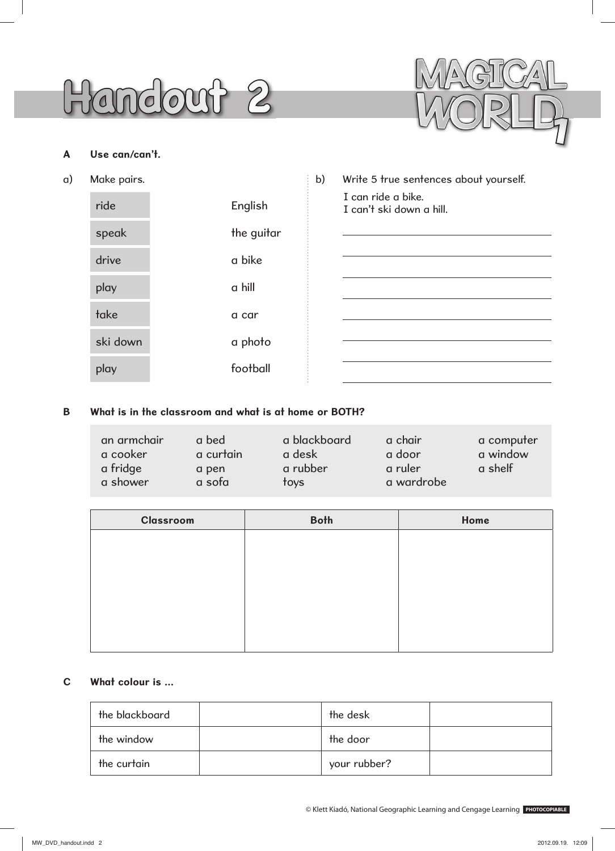## **Handout 2**



## **A Use can/can't.**

a) Make

| lake pairs. |            | b) | Write 5 true sentences about yourself.         |
|-------------|------------|----|------------------------------------------------|
| ride        | English    |    | I can ride a bike.<br>I can't ski down a hill. |
| speak       | the guitar |    |                                                |
| drive       | a bike     |    |                                                |
| play        | a hill     |    |                                                |
| take        | a car      |    |                                                |
| ski down    | a photo    |    |                                                |
| play        | football   |    |                                                |

## **B What is in the classroom and what is at home or BOTH?**

| an armchair | a bed     | a blackboard | a chair    | a computer |
|-------------|-----------|--------------|------------|------------|
| a cooker    | a curtain | a desk       | a door     | a window   |
| a fridge    | a pen     | a rubber     | a ruler    | a shelf    |
| a shower    | a sofa    | toys         | a wardrobe |            |

| Classroom | <b>Both</b> | Home |
|-----------|-------------|------|
|           |             |      |
|           |             |      |
|           |             |      |
|           |             |      |
|           |             |      |
|           |             |      |

## **C What colour is …**

| the blackboard | the desk     |  |
|----------------|--------------|--|
| the window     | the door     |  |
| the curtain    | your rubber? |  |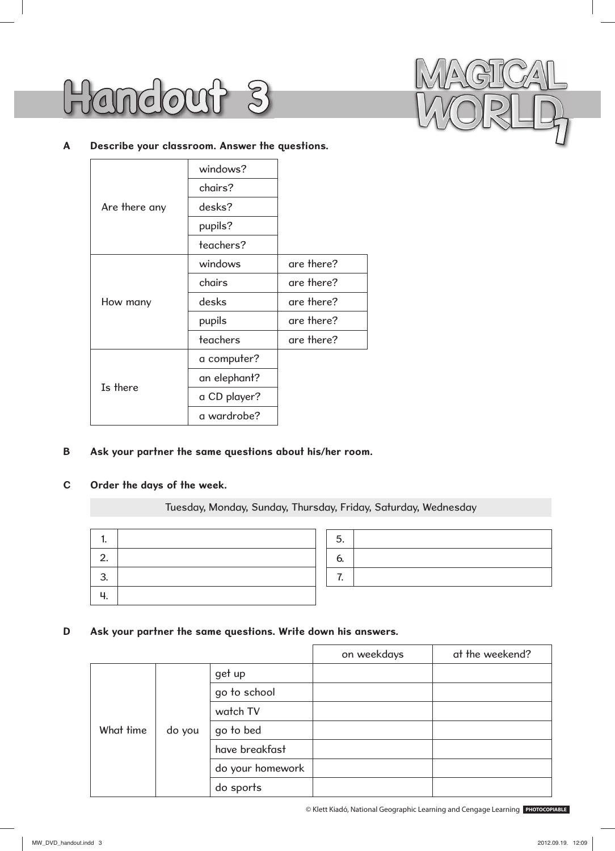



#### **A Describe your classroom. Answer the questions.**

|               | windows?     |            |
|---------------|--------------|------------|
|               | chairs?      |            |
| Are there any | desks?       |            |
|               | pupils?      |            |
|               | teachers?    |            |
|               | windows      | are there? |
|               | chairs       | are there? |
| How many      | desks        | are there? |
|               | pupils       | are there? |
|               | teachers     | are there? |
|               | a computer?  |            |
| Is there      | an elephant? |            |
|               | a CD player? |            |
|               | a wardrobe?  |            |

#### **B Ask your partner the same questions about his/her room.**

## **C Order the days of the week.**

### Tuesday, Monday, Sunday, Thursday, Friday, Saturday, Wednesday

| 2.      |  |
|---------|--|
| 3<br>J. |  |
|         |  |

#### **D Ask your partner the same questions. Write down his answers.**

|           |        |                  | on weekdays | at the weekend? |
|-----------|--------|------------------|-------------|-----------------|
|           |        | get up           |             |                 |
|           |        | go to school     |             |                 |
|           |        | watch TV         |             |                 |
| What time | do you | go to bed        |             |                 |
|           |        | have breakfast   |             |                 |
|           |        | do your homework |             |                 |
|           |        | do sports        |             |                 |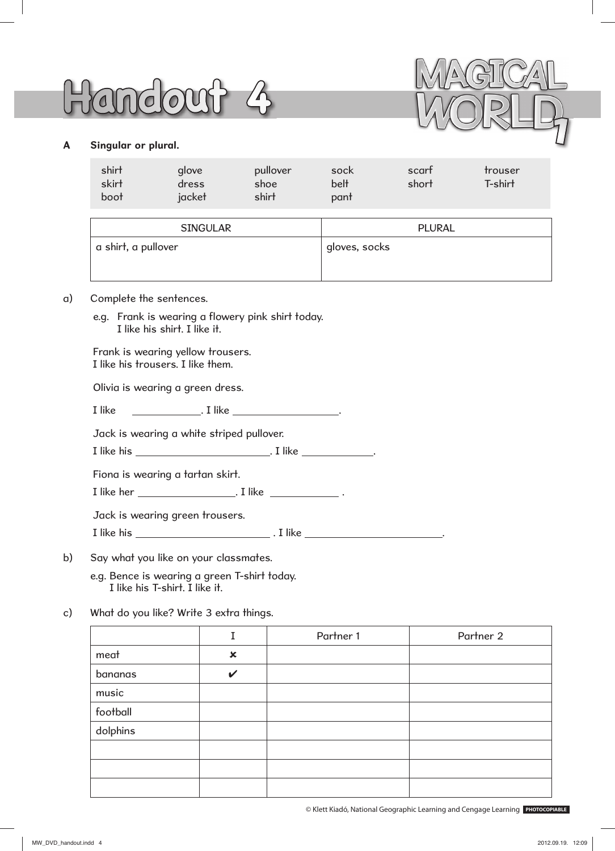# **Handout 4**



## **A Singular or plural.**

| shirt<br>skirt<br>boot | glove<br>dress<br>jacket | pullover<br>shoe<br>shirt | sock<br>belt<br>pant | scart<br>short | trouser<br>T-shirt |
|------------------------|--------------------------|---------------------------|----------------------|----------------|--------------------|
|                        |                          |                           |                      |                |                    |

| <b>SINGULAR</b>     | PLURAL                     |
|---------------------|----------------------------|
| a shirt, a pullover | <sup>1</sup> gloves, socks |

#### a) Complete the sentences.

e.g. Frank is wearing a flowery pink shirt today. I like his shirt. I like it.

Frank is wearing yellow trousers. I like his trousers. I like them.

Olivia is wearing a green dress.

I like  $\qquad \qquad$  . I like  $\qquad \qquad$  .

Jack is wearing a white striped pullover.

I like his . I like .

Fiona is wearing a tartan skirt.

I like her . I like .

Jack is wearing green trousers.

I like his . I like .

b) Say what you like on your classmates.

 e.g. Bence is wearing a green T-shirt today. I like his T-shirt. I like it.

c) What do you like? Write 3 extra things.

|          |                           | Partner 1 | Partner 2 |
|----------|---------------------------|-----------|-----------|
| meat     | $\boldsymbol{\mathsf{x}}$ |           |           |
| bananas  | $\checkmark$              |           |           |
| music    |                           |           |           |
| football |                           |           |           |
| dolphins |                           |           |           |
|          |                           |           |           |
|          |                           |           |           |
|          |                           |           |           |